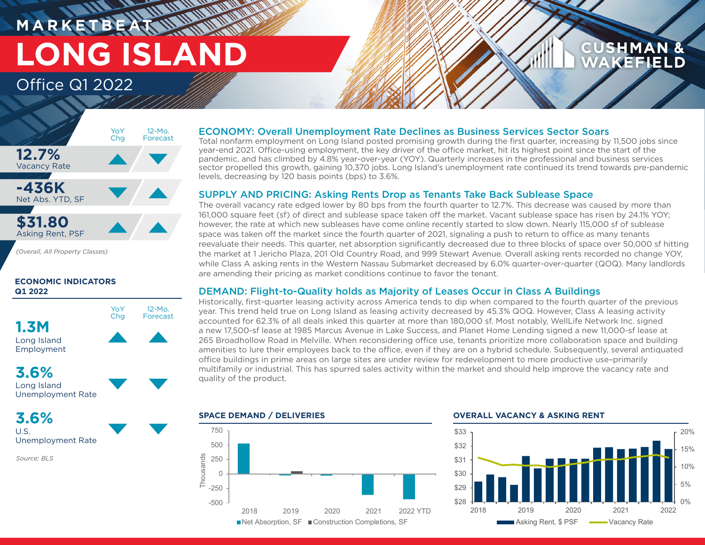# **M A R K E T B E AT LONG ISLAND** Office Q1 2022

## **CUSHMAN & AKEFIELD**



*(Overall, All Property Classes)*

### **ECONOMIC INDICATORS Q1 2022**



## **3.6%**

Long Island Unemployment Rate

# **3.6%**

U.S. Unemployment Rate

*Source: BLS*

### ECONOMY: Overall Unemployment Rate Declines as Business Services Sector Soars

Total nonfarm employment on Long Island posted promising growth during the first quarter, increasing by 11,500 jobs since year-end 2021. Office-using employment, the key driver of the office market, hit its highest point since the start of the pandemic, and has climbed by 4.8% year-over-year (YOY). Quarterly increases in the professional and business services sector propelled this growth, gaining 10,370 jobs. Long Island's unemployment rate continued its trend towards pre-pandemic levels, decreasing by 120 basis points (bps) to 3.6%.

### SUPPLY AND PRICING: Asking Rents Drop as Tenants Take Back Sublease Space

The overall vacancy rate edged lower by 80 bps from the fourth quarter to 12.7%. This decrease was caused by more than 161,000 square feet (sf) of direct and sublease space taken off the market. Vacant sublease space has risen by 24.1% YOY; however, the rate at which new subleases have come online recently started to slow down. Nearly 115,000 sf of sublease space was taken off the market since the fourth quarter of 2021, signaling a push to return to office as many tenants reevaluate their needs. This quarter, net absorption significantly decreased due to three blocks of space over 50,000 sf hitting the market at 1 Jericho Plaza, 201 Old Country Road, and 999 Stewart Avenue. Overall asking rents recorded no change YOY, while Class A asking rents in the Western Nassau Submarket decreased by 6.0% quarter-over-quarter (QOQ). Many landlords are amending their pricing as market conditions continue to favor the tenant.

### DEMAND: Flight-to-Quality holds as Majority of Leases Occur in Class A Buildings

Historically, first-quarter leasing activity across America tends to dip when compared to the fourth quarter of the previous year. This trend held true on Long Island as leasing activity decreased by 45.3% QOQ. However, Class A leasing activity accounted for 62.3% of all deals inked this quarter at more than 180,000 sf. Most notably, WellLife Network Inc. signed a new 17,500-sf lease at 1985 Marcus Avenue in Lake Success, and Planet Home Lending signed a new 11,000-sf lease at 265 Broadhollow Road in Melville. When reconsidering office use, tenants prioritize more collaboration space and building amenities to lure their employees back to the office, even if they are on a hybrid schedule. Subsequently, several antiquated office buildings in prime areas on large sites are under review for redevelopment to more productive use–primarily multifamily or industrial. This has spurred sales activity within the market and should help improve the vacancy rate and quality of the product.



**SPACE DEMAND / DELIVERIES OVERALL VACANCY & ASKING RENT**